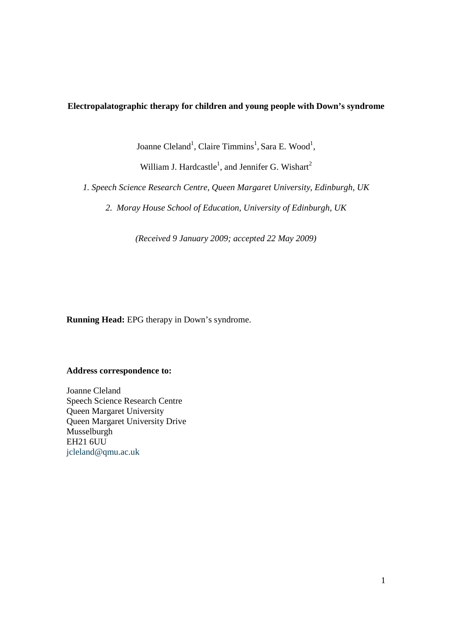# **Electropalatographic therapy for children and young people with Down's syndrome**

Joanne Cleland<sup>1</sup>, Claire Timmins<sup>1</sup>, Sara E. Wood<sup>1</sup>,

William J. Hardcastle<sup>1</sup>, and Jennifer G. Wishart<sup>2</sup>

*1. Speech Science Research Centre, Queen Margaret University, Edinburgh, UK* 

*2. Moray House School of Education, University of Edinburgh, UK* 

*(Received 9 January 2009; accepted 22 May 2009)* 

**Running Head:** EPG therapy in Down's syndrome.

# **Address correspondence to:**

Joanne Cleland Speech Science Research Centre Queen Margaret University Queen Margaret University Drive Musselburgh EH21 6UU jcleland@qmu.ac.uk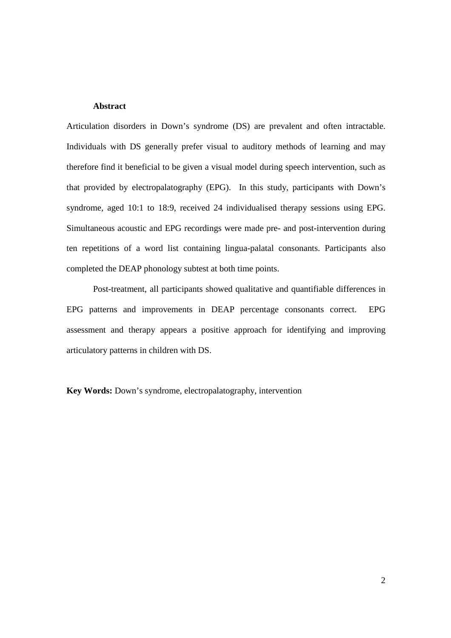#### **Abstract**

Articulation disorders in Down's syndrome (DS) are prevalent and often intractable. Individuals with DS generally prefer visual to auditory methods of learning and may therefore find it beneficial to be given a visual model during speech intervention, such as that provided by electropalatography (EPG). In this study, participants with Down's syndrome, aged 10:1 to 18:9, received 24 individualised therapy sessions using EPG. Simultaneous acoustic and EPG recordings were made pre- and post-intervention during ten repetitions of a word list containing lingua-palatal consonants. Participants also completed the DEAP phonology subtest at both time points.

Post-treatment, all participants showed qualitative and quantifiable differences in EPG patterns and improvements in DEAP percentage consonants correct. EPG assessment and therapy appears a positive approach for identifying and improving articulatory patterns in children with DS.

**Key Words:** Down's syndrome, electropalatography, intervention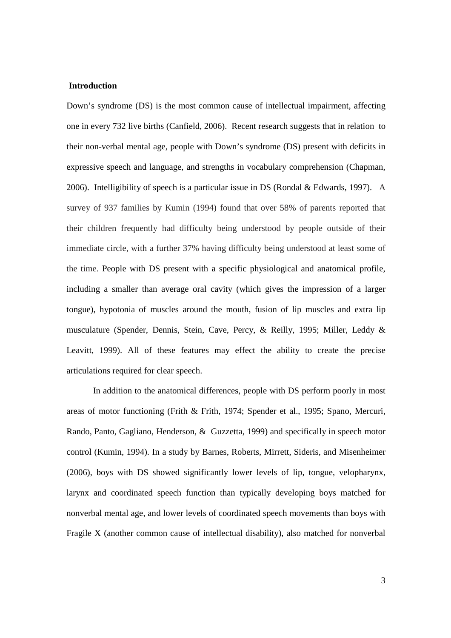### **Introduction**

Down's syndrome (DS) is the most common cause of intellectual impairment, affecting one in every 732 live births (Canfield, 2006). Recent research suggests that in relation to their non-verbal mental age, people with Down's syndrome (DS) present with deficits in expressive speech and language, and strengths in vocabulary comprehension (Chapman, 2006). Intelligibility of speech is a particular issue in DS (Rondal & Edwards, 1997). A survey of 937 families by Kumin (1994) found that over 58% of parents reported that their children frequently had difficulty being understood by people outside of their immediate circle, with a further 37% having difficulty being understood at least some of the time. People with DS present with a specific physiological and anatomical profile, including a smaller than average oral cavity (which gives the impression of a larger tongue), hypotonia of muscles around the mouth, fusion of lip muscles and extra lip musculature (Spender, Dennis, Stein, Cave, Percy, & Reilly, 1995; Miller, Leddy & Leavitt, 1999). All of these features may effect the ability to create the precise articulations required for clear speech.

In addition to the anatomical differences, people with DS perform poorly in most areas of motor functioning (Frith & Frith, 1974; Spender et al., 1995; Spano, Mercuri, Rando, Panto, Gagliano, Henderson, & Guzzetta, 1999) and specifically in speech motor control (Kumin, 1994). In a study by Barnes, Roberts, Mirrett, Sideris, and Misenheimer (2006), boys with DS showed significantly lower levels of lip, tongue, velopharynx, larynx and coordinated speech function than typically developing boys matched for nonverbal mental age, and lower levels of coordinated speech movements than boys with Fragile X (another common cause of intellectual disability), also matched for nonverbal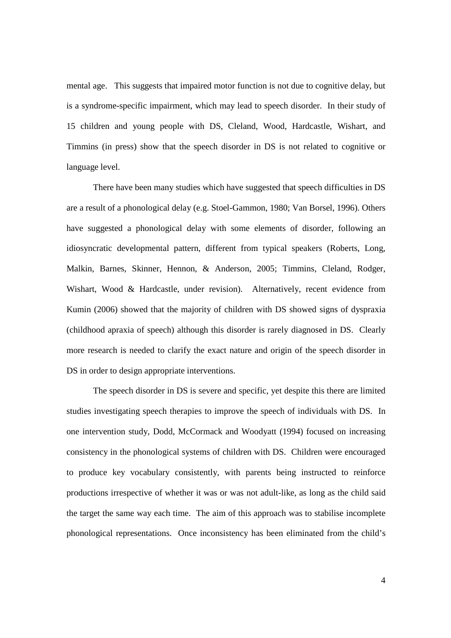mental age. This suggests that impaired motor function is not due to cognitive delay, but is a syndrome-specific impairment, which may lead to speech disorder. In their study of 15 children and young people with DS, Cleland, Wood, Hardcastle, Wishart, and Timmins (in press) show that the speech disorder in DS is not related to cognitive or language level.

There have been many studies which have suggested that speech difficulties in DS are a result of a phonological delay (e.g. Stoel-Gammon, 1980; Van Borsel, 1996). Others have suggested a phonological delay with some elements of disorder, following an idiosyncratic developmental pattern, different from typical speakers (Roberts, Long, Malkin, Barnes, Skinner, Hennon, & Anderson, 2005; Timmins, Cleland, Rodger, Wishart, Wood & Hardcastle, under revision). Alternatively, recent evidence from Kumin (2006) showed that the majority of children with DS showed signs of dyspraxia (childhood apraxia of speech) although this disorder is rarely diagnosed in DS. Clearly more research is needed to clarify the exact nature and origin of the speech disorder in DS in order to design appropriate interventions.

The speech disorder in DS is severe and specific, yet despite this there are limited studies investigating speech therapies to improve the speech of individuals with DS. In one intervention study, Dodd, McCormack and Woodyatt (1994) focused on increasing consistency in the phonological systems of children with DS. Children were encouraged to produce key vocabulary consistently, with parents being instructed to reinforce productions irrespective of whether it was or was not adult-like, as long as the child said the target the same way each time. The aim of this approach was to stabilise incomplete phonological representations. Once inconsistency has been eliminated from the child's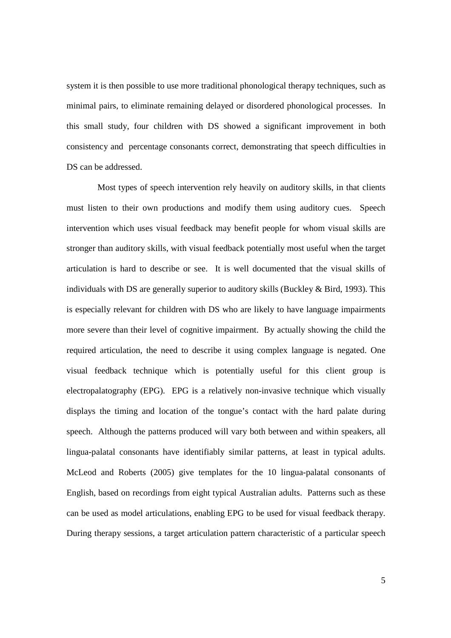system it is then possible to use more traditional phonological therapy techniques, such as minimal pairs, to eliminate remaining delayed or disordered phonological processes. In this small study, four children with DS showed a significant improvement in both consistency and percentage consonants correct, demonstrating that speech difficulties in DS can be addressed.

 Most types of speech intervention rely heavily on auditory skills, in that clients must listen to their own productions and modify them using auditory cues. Speech intervention which uses visual feedback may benefit people for whom visual skills are stronger than auditory skills, with visual feedback potentially most useful when the target articulation is hard to describe or see. It is well documented that the visual skills of individuals with DS are generally superior to auditory skills (Buckley & Bird, 1993). This is especially relevant for children with DS who are likely to have language impairments more severe than their level of cognitive impairment. By actually showing the child the required articulation, the need to describe it using complex language is negated. One visual feedback technique which is potentially useful for this client group is electropalatography (EPG). EPG is a relatively non-invasive technique which visually displays the timing and location of the tongue's contact with the hard palate during speech. Although the patterns produced will vary both between and within speakers, all lingua-palatal consonants have identifiably similar patterns, at least in typical adults. McLeod and Roberts (2005) give templates for the 10 lingua-palatal consonants of English, based on recordings from eight typical Australian adults. Patterns such as these can be used as model articulations, enabling EPG to be used for visual feedback therapy. During therapy sessions, a target articulation pattern characteristic of a particular speech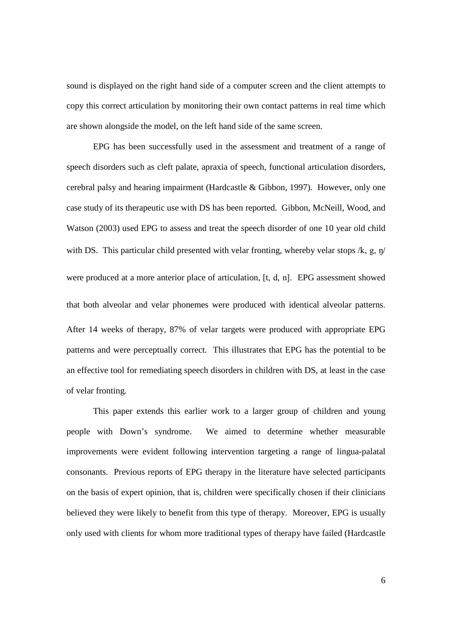sound is displayed on the right hand side of a computer screen and the client attempts to copy this correct articulation by monitoring their own contact patterns in real time which are shown alongside the model, on the left hand side of the same screen.

EPG has been successfully used in the assessment and treatment of a range of speech disorders such as cleft palate, apraxia of speech, functional articulation disorders, cerebral palsy and hearing impairment (Hardcastle & Gibbon, 1997). However, only one case study of its therapeutic use with DS has been reported. Gibbon, McNeill, Wood, and Watson (2003) used EPG to assess and treat the speech disorder of one 10 year old child with DS. This particular child presented with velar fronting, whereby velar stops  $/k$ , g,  $\eta$ were produced at a more anterior place of articulation, [t, d, n]. EPG assessment showed that both alveolar and velar phonemes were produced with identical alveolar patterns. After 14 weeks of therapy, 87% of velar targets were produced with appropriate EPG patterns and were perceptually correct. This illustrates that EPG has the potential to be an effective tool for remediating speech disorders in children with DS, at least in the case of velar fronting.

This paper extends this earlier work to a larger group of children and young people with Down's syndrome. We aimed to determine whether measurable improvements were evident following intervention targeting a range of lingua-palatal consonants. Previous reports of EPG therapy in the literature have selected participants on the basis of expert opinion, that is, children were specifically chosen if their clinicians believed they were likely to benefit from this type of therapy. Moreover, EPG is usually only used with clients for whom more traditional types of therapy have failed (Hardcastle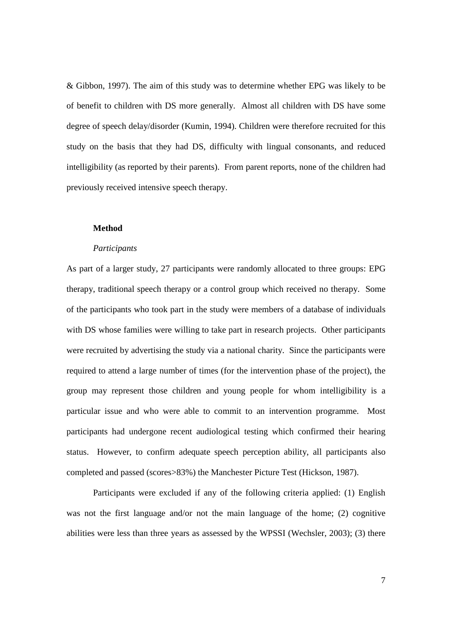& Gibbon, 1997). The aim of this study was to determine whether EPG was likely to be of benefit to children with DS more generally. Almost all children with DS have some degree of speech delay/disorder (Kumin, 1994). Children were therefore recruited for this study on the basis that they had DS, difficulty with lingual consonants, and reduced intelligibility (as reported by their parents). From parent reports, none of the children had previously received intensive speech therapy.

# **Method**

#### *Participants*

As part of a larger study, 27 participants were randomly allocated to three groups: EPG therapy, traditional speech therapy or a control group which received no therapy. Some of the participants who took part in the study were members of a database of individuals with DS whose families were willing to take part in research projects. Other participants were recruited by advertising the study via a national charity. Since the participants were required to attend a large number of times (for the intervention phase of the project), the group may represent those children and young people for whom intelligibility is a particular issue and who were able to commit to an intervention programme. Most participants had undergone recent audiological testing which confirmed their hearing status. However, to confirm adequate speech perception ability, all participants also completed and passed (scores>83%) the Manchester Picture Test (Hickson, 1987).

Participants were excluded if any of the following criteria applied: (1) English was not the first language and/or not the main language of the home; (2) cognitive abilities were less than three years as assessed by the WPSSI (Wechsler, 2003); (3) there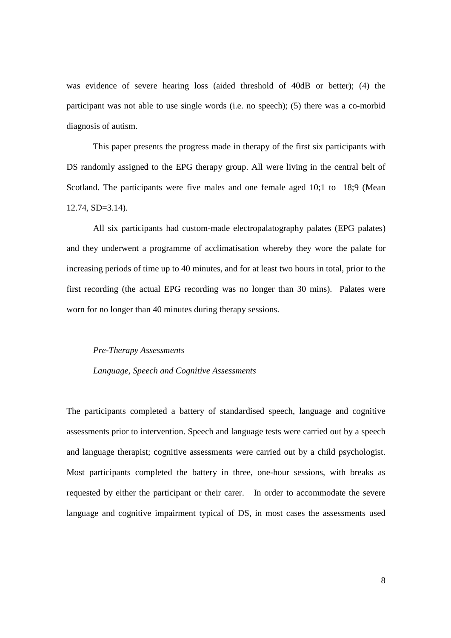was evidence of severe hearing loss (aided threshold of 40dB or better); (4) the participant was not able to use single words (i.e. no speech); (5) there was a co-morbid diagnosis of autism.

This paper presents the progress made in therapy of the first six participants with DS randomly assigned to the EPG therapy group. All were living in the central belt of Scotland. The participants were five males and one female aged 10;1 to 18;9 (Mean 12.74, SD=3.14).

All six participants had custom-made electropalatography palates (EPG palates) and they underwent a programme of acclimatisation whereby they wore the palate for increasing periods of time up to 40 minutes, and for at least two hours in total, prior to the first recording (the actual EPG recording was no longer than 30 mins). Palates were worn for no longer than 40 minutes during therapy sessions.

*Pre-Therapy Assessments Language, Speech and Cognitive Assessments* 

The participants completed a battery of standardised speech, language and cognitive assessments prior to intervention. Speech and language tests were carried out by a speech and language therapist; cognitive assessments were carried out by a child psychologist. Most participants completed the battery in three, one-hour sessions, with breaks as requested by either the participant or their carer. In order to accommodate the severe language and cognitive impairment typical of DS, in most cases the assessments used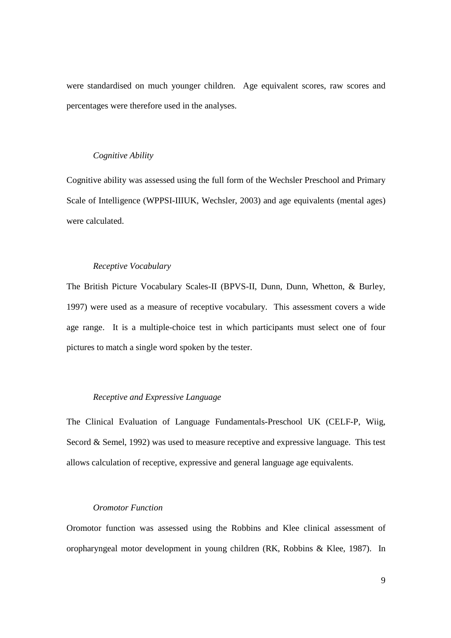were standardised on much younger children. Age equivalent scores, raw scores and percentages were therefore used in the analyses.

# *Cognitive Ability*

Cognitive ability was assessed using the full form of the Wechsler Preschool and Primary Scale of Intelligence (WPPSI-IIIUK, Wechsler, 2003) and age equivalents (mental ages) were calculated.

#### *Receptive Vocabulary*

The British Picture Vocabulary Scales-II (BPVS-II, Dunn, Dunn, Whetton, & Burley, 1997) were used as a measure of receptive vocabulary. This assessment covers a wide age range. It is a multiple-choice test in which participants must select one of four pictures to match a single word spoken by the tester.

### *Receptive and Expressive Language*

The Clinical Evaluation of Language Fundamentals-Preschool UK (CELF-P, Wiig, Secord & Semel, 1992) was used to measure receptive and expressive language. This test allows calculation of receptive, expressive and general language age equivalents.

### *Oromotor Function*

Oromotor function was assessed using the Robbins and Klee clinical assessment of oropharyngeal motor development in young children (RK, Robbins & Klee, 1987). In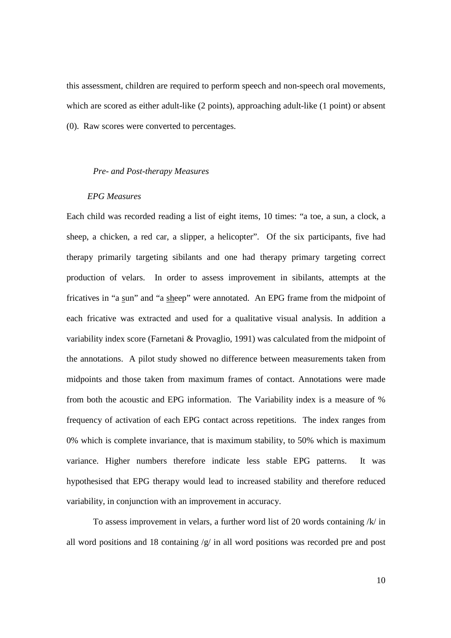this assessment, children are required to perform speech and non-speech oral movements, which are scored as either adult-like (2 points), approaching adult-like (1 point) or absent (0). Raw scores were converted to percentages.

### *Pre- and Post-therapy Measures*

### *EPG Measures*

Each child was recorded reading a list of eight items, 10 times: "a toe, a sun, a clock, a sheep, a chicken, a red car, a slipper, a helicopter". Of the six participants, five had therapy primarily targeting sibilants and one had therapy primary targeting correct production of velars. In order to assess improvement in sibilants, attempts at the fricatives in "a sun" and "a sheep" were annotated. An EPG frame from the midpoint of each fricative was extracted and used for a qualitative visual analysis. In addition a variability index score (Farnetani & Provaglio, 1991) was calculated from the midpoint of the annotations. A pilot study showed no difference between measurements taken from midpoints and those taken from maximum frames of contact. Annotations were made from both the acoustic and EPG information. The Variability index is a measure of % frequency of activation of each EPG contact across repetitions. The index ranges from 0% which is complete invariance, that is maximum stability, to 50% which is maximum variance. Higher numbers therefore indicate less stable EPG patterns. It was hypothesised that EPG therapy would lead to increased stability and therefore reduced variability, in conjunction with an improvement in accuracy.

To assess improvement in velars, a further word list of 20 words containing /k/ in all word positions and 18 containing /g/ in all word positions was recorded pre and post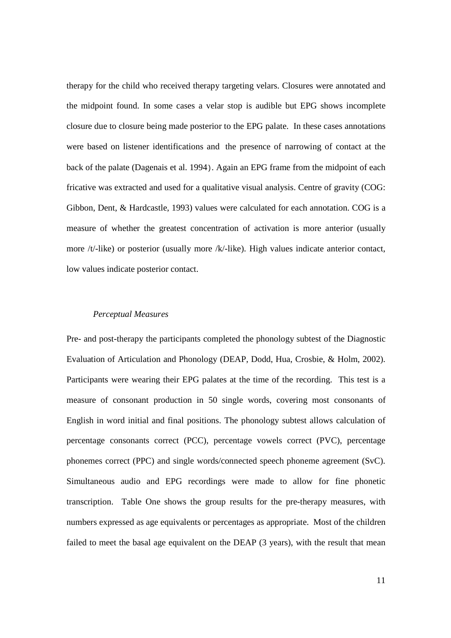therapy for the child who received therapy targeting velars. Closures were annotated and the midpoint found. In some cases a velar stop is audible but EPG shows incomplete closure due to closure being made posterior to the EPG palate. In these cases annotations were based on listener identifications and the presence of narrowing of contact at the back of the palate (Dagenais et al. 1994). Again an EPG frame from the midpoint of each fricative was extracted and used for a qualitative visual analysis. Centre of gravity (COG: Gibbon, Dent, & Hardcastle, 1993) values were calculated for each annotation. COG is a measure of whether the greatest concentration of activation is more anterior (usually more /t/-like) or posterior (usually more /k/-like). High values indicate anterior contact, low values indicate posterior contact.

#### *Perceptual Measures*

Pre- and post-therapy the participants completed the phonology subtest of the Diagnostic Evaluation of Articulation and Phonology (DEAP, Dodd, Hua, Crosbie, & Holm, 2002). Participants were wearing their EPG palates at the time of the recording. This test is a measure of consonant production in 50 single words, covering most consonants of English in word initial and final positions. The phonology subtest allows calculation of percentage consonants correct (PCC), percentage vowels correct (PVC), percentage phonemes correct (PPC) and single words/connected speech phoneme agreement (SvC). Simultaneous audio and EPG recordings were made to allow for fine phonetic transcription. Table One shows the group results for the pre-therapy measures, with numbers expressed as age equivalents or percentages as appropriate. Most of the children failed to meet the basal age equivalent on the DEAP (3 years), with the result that mean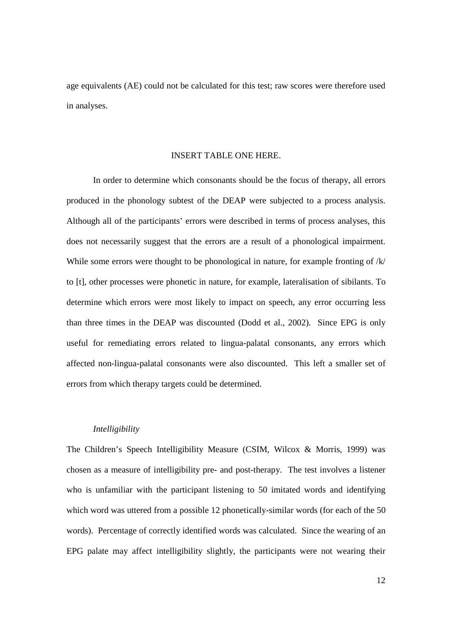age equivalents (AE) could not be calculated for this test; raw scores were therefore used in analyses.

### INSERT TABLE ONE HERE.

In order to determine which consonants should be the focus of therapy, all errors produced in the phonology subtest of the DEAP were subjected to a process analysis. Although all of the participants' errors were described in terms of process analyses, this does not necessarily suggest that the errors are a result of a phonological impairment. While some errors were thought to be phonological in nature, for example fronting of /k/ to [t], other processes were phonetic in nature, for example, lateralisation of sibilants. To determine which errors were most likely to impact on speech, any error occurring less than three times in the DEAP was discounted (Dodd et al., 2002). Since EPG is only useful for remediating errors related to lingua-palatal consonants, any errors which affected non-lingua-palatal consonants were also discounted. This left a smaller set of errors from which therapy targets could be determined.

# *Intelligibility*

The Children's Speech Intelligibility Measure (CSIM, Wilcox & Morris, 1999) was chosen as a measure of intelligibility pre- and post-therapy. The test involves a listener who is unfamiliar with the participant listening to 50 imitated words and identifying which word was uttered from a possible 12 phonetically-similar words (for each of the 50 words). Percentage of correctly identified words was calculated. Since the wearing of an EPG palate may affect intelligibility slightly, the participants were not wearing their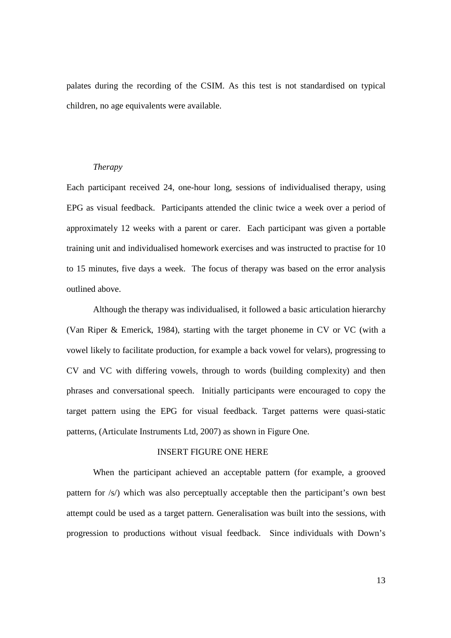palates during the recording of the CSIM. As this test is not standardised on typical children, no age equivalents were available.

### *Therapy*

Each participant received 24, one-hour long, sessions of individualised therapy, using EPG as visual feedback. Participants attended the clinic twice a week over a period of approximately 12 weeks with a parent or carer. Each participant was given a portable training unit and individualised homework exercises and was instructed to practise for 10 to 15 minutes, five days a week. The focus of therapy was based on the error analysis outlined above.

 Although the therapy was individualised, it followed a basic articulation hierarchy (Van Riper & Emerick, 1984), starting with the target phoneme in CV or VC (with a vowel likely to facilitate production, for example a back vowel for velars), progressing to CV and VC with differing vowels, through to words (building complexity) and then phrases and conversational speech. Initially participants were encouraged to copy the target pattern using the EPG for visual feedback. Target patterns were quasi-static patterns, (Articulate Instruments Ltd, 2007) as shown in Figure One.

# INSERT FIGURE ONE HERE

When the participant achieved an acceptable pattern (for example, a grooved pattern for /s/) which was also perceptually acceptable then the participant's own best attempt could be used as a target pattern. Generalisation was built into the sessions, with progression to productions without visual feedback. Since individuals with Down's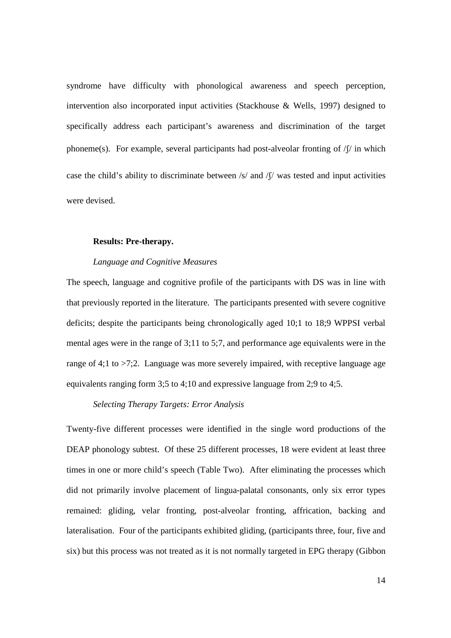syndrome have difficulty with phonological awareness and speech perception, intervention also incorporated input activities (Stackhouse & Wells, 1997) designed to specifically address each participant's awareness and discrimination of the target phoneme(s). For example, several participants had post-alveolar fronting of  $\int \int \int$  in which case the child's ability to discriminate between /s/ and /ʃ/ was tested and input activities were devised.

#### **Results: Pre-therapy.**

### *Language and Cognitive Measures*

The speech, language and cognitive profile of the participants with DS was in line with that previously reported in the literature. The participants presented with severe cognitive deficits; despite the participants being chronologically aged 10;1 to 18;9 WPPSI verbal mental ages were in the range of 3;11 to 5;7, and performance age equivalents were in the range of 4;1 to >7;2. Language was more severely impaired, with receptive language age equivalents ranging form 3;5 to 4;10 and expressive language from 2;9 to 4;5.

# *Selecting Therapy Targets: Error Analysis*

Twenty-five different processes were identified in the single word productions of the DEAP phonology subtest. Of these 25 different processes, 18 were evident at least three times in one or more child's speech (Table Two). After eliminating the processes which did not primarily involve placement of lingua-palatal consonants, only six error types remained: gliding, velar fronting, post-alveolar fronting, affrication, backing and lateralisation. Four of the participants exhibited gliding, (participants three, four, five and six) but this process was not treated as it is not normally targeted in EPG therapy (Gibbon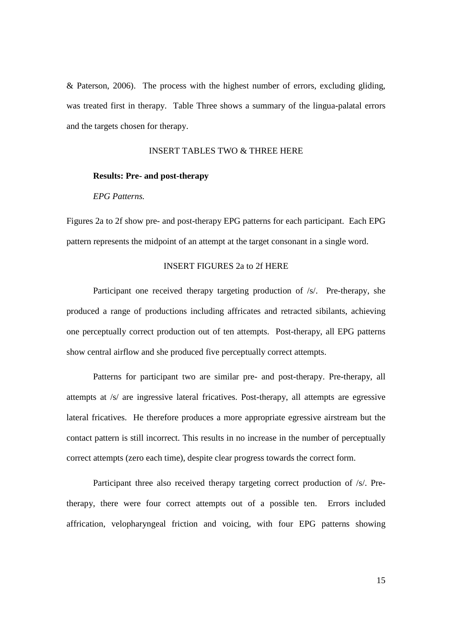& Paterson, 2006). The process with the highest number of errors, excluding gliding, was treated first in therapy. Table Three shows a summary of the lingua-palatal errors and the targets chosen for therapy.

#### INSERT TABLES TWO & THREE HERE

#### **Results: Pre- and post-therapy**

# *EPG Patterns.*

Figures 2a to 2f show pre- and post-therapy EPG patterns for each participant. Each EPG pattern represents the midpoint of an attempt at the target consonant in a single word.

### INSERT FIGURES 2a to 2f HERE

Participant one received therapy targeting production of /s/. Pre-therapy, she produced a range of productions including affricates and retracted sibilants, achieving one perceptually correct production out of ten attempts. Post-therapy, all EPG patterns show central airflow and she produced five perceptually correct attempts.

Patterns for participant two are similar pre- and post-therapy. Pre-therapy, all attempts at /s/ are ingressive lateral fricatives. Post-therapy, all attempts are egressive lateral fricatives. He therefore produces a more appropriate egressive airstream but the contact pattern is still incorrect. This results in no increase in the number of perceptually correct attempts (zero each time), despite clear progress towards the correct form.

 Participant three also received therapy targeting correct production of /s/. Pretherapy, there were four correct attempts out of a possible ten. Errors included affrication, velopharyngeal friction and voicing, with four EPG patterns showing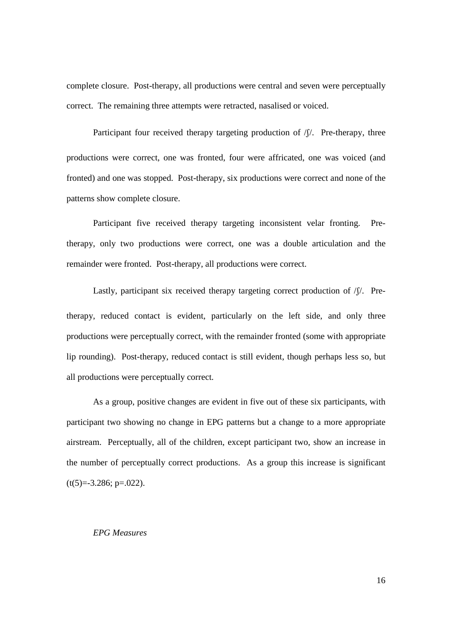complete closure. Post-therapy, all productions were central and seven were perceptually correct. The remaining three attempts were retracted, nasalised or voiced.

Participant four received therapy targeting production of  $\beta$ . Pre-therapy, three productions were correct, one was fronted, four were affricated, one was voiced (and fronted) and one was stopped. Post-therapy, six productions were correct and none of the patterns show complete closure.

 Participant five received therapy targeting inconsistent velar fronting. Pretherapy, only two productions were correct, one was a double articulation and the remainder were fronted. Post-therapy, all productions were correct.

Lastly, participant six received therapy targeting correct production of  $/$  [ $/$ . Pretherapy, reduced contact is evident, particularly on the left side, and only three productions were perceptually correct, with the remainder fronted (some with appropriate lip rounding). Post-therapy, reduced contact is still evident, though perhaps less so, but all productions were perceptually correct.

As a group, positive changes are evident in five out of these six participants, with participant two showing no change in EPG patterns but a change to a more appropriate airstream. Perceptually, all of the children, except participant two, show an increase in the number of perceptually correct productions. As a group this increase is significant  $(t(5)=3.286; p=.022)$ .

### *EPG Measures*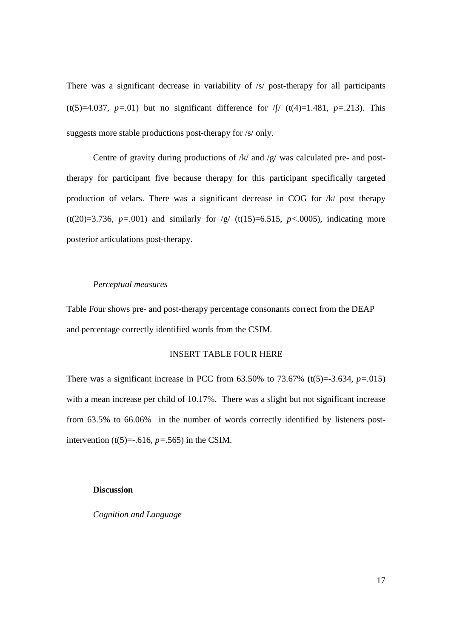There was a significant decrease in variability of /s/ post-therapy for all participants (t(5)=4.037, *p=.*01) but no significant difference for /ʃ/ (t(4)=1.481, *p=.*213). This suggests more stable productions post-therapy for /s/ only.

 Centre of gravity during productions of /k/ and /g/ was calculated pre- and posttherapy for participant five because therapy for this participant specifically targeted production of velars. There was a significant decrease in COG for /k/ post therapy (t(20)=3.736, *p=.*001) and similarly for /g/ (t(15)=6.515, *p<.*0005), indicating more posterior articulations post-therapy.

#### *Perceptual measures*

Table Four shows pre- and post-therapy percentage consonants correct from the DEAP and percentage correctly identified words from the CSIM.

# INSERT TABLE FOUR HERE

There was a significant increase in PCC from  $63.50\%$  to  $73.67\%$  (t(5)=-3.634,  $p=0.015$ ) with a mean increase per child of 10.17%. There was a slight but not significant increase from 63.5% to 66.06% in the number of words correctly identified by listeners postintervention  $(t(5)=.616, p=.565)$  in the CSIM.

#### **Discussion**

*Cognition and Language*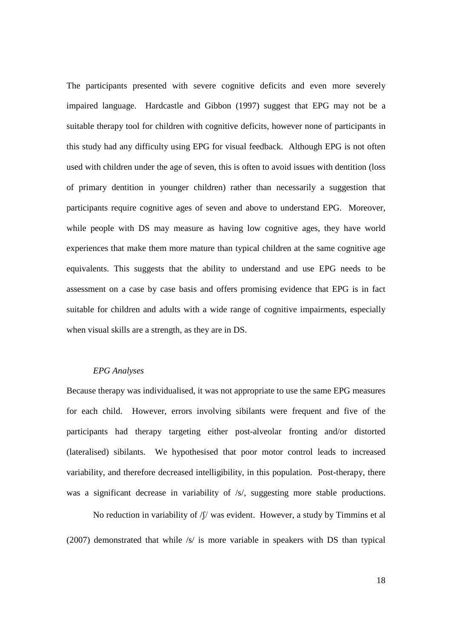The participants presented with severe cognitive deficits and even more severely impaired language. Hardcastle and Gibbon (1997) suggest that EPG may not be a suitable therapy tool for children with cognitive deficits, however none of participants in this study had any difficulty using EPG for visual feedback. Although EPG is not often used with children under the age of seven, this is often to avoid issues with dentition (loss of primary dentition in younger children) rather than necessarily a suggestion that participants require cognitive ages of seven and above to understand EPG. Moreover, while people with DS may measure as having low cognitive ages, they have world experiences that make them more mature than typical children at the same cognitive age equivalents. This suggests that the ability to understand and use EPG needs to be assessment on a case by case basis and offers promising evidence that EPG is in fact suitable for children and adults with a wide range of cognitive impairments, especially when visual skills are a strength, as they are in DS.

# *EPG Analyses*

Because therapy was individualised, it was not appropriate to use the same EPG measures for each child. However, errors involving sibilants were frequent and five of the participants had therapy targeting either post-alveolar fronting and/or distorted (lateralised) sibilants. We hypothesised that poor motor control leads to increased variability, and therefore decreased intelligibility, in this population. Post-therapy, there was a significant decrease in variability of  $/s/$ , suggesting more stable productions.

No reduction in variability of  $\int \int \int$  was evident. However, a study by Timmins et al (2007) demonstrated that while /s/ is more variable in speakers with DS than typical

18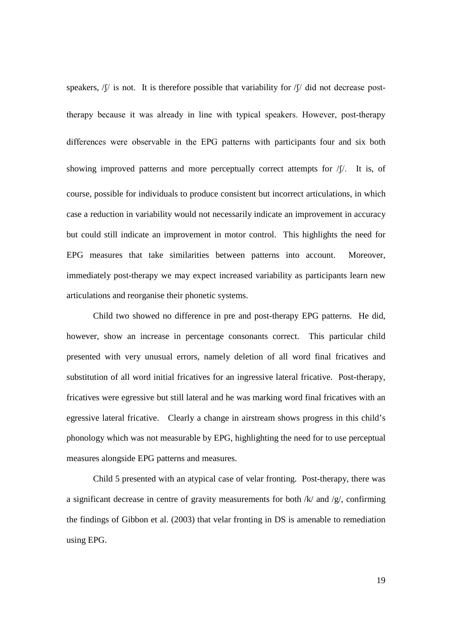speakers,  $\sqrt{(}$  is not. It is therefore possible that variability for  $\sqrt{(}$  did not decrease posttherapy because it was already in line with typical speakers. However, post-therapy differences were observable in the EPG patterns with participants four and six both showing improved patterns and more perceptually correct attempts for  $\frac{f}{f}$ . It is, of course, possible for individuals to produce consistent but incorrect articulations, in which case a reduction in variability would not necessarily indicate an improvement in accuracy but could still indicate an improvement in motor control. This highlights the need for EPG measures that take similarities between patterns into account. Moreover, immediately post-therapy we may expect increased variability as participants learn new articulations and reorganise their phonetic systems.

 Child two showed no difference in pre and post-therapy EPG patterns. He did, however, show an increase in percentage consonants correct. This particular child presented with very unusual errors, namely deletion of all word final fricatives and substitution of all word initial fricatives for an ingressive lateral fricative. Post-therapy, fricatives were egressive but still lateral and he was marking word final fricatives with an egressive lateral fricative. Clearly a change in airstream shows progress in this child's phonology which was not measurable by EPG, highlighting the need for to use perceptual measures alongside EPG patterns and measures.

 Child 5 presented with an atypical case of velar fronting. Post-therapy, there was a significant decrease in centre of gravity measurements for both  $/k$  and  $/g$ , confirming the findings of Gibbon et al. (2003) that velar fronting in DS is amenable to remediation using EPG.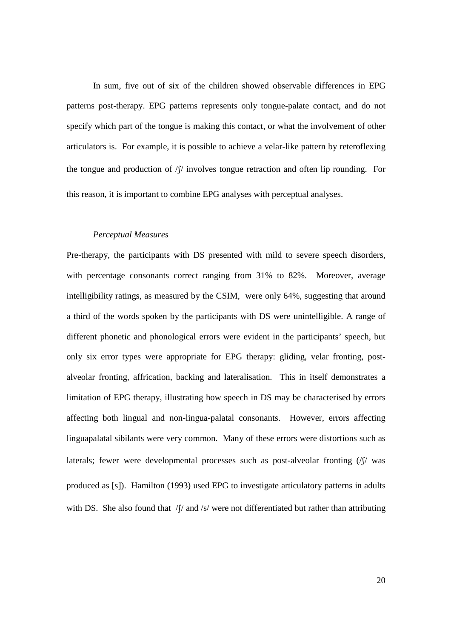In sum, five out of six of the children showed observable differences in EPG patterns post-therapy. EPG patterns represents only tongue-palate contact, and do not specify which part of the tongue is making this contact, or what the involvement of other articulators is. For example, it is possible to achieve a velar-like pattern by reteroflexing the tongue and production of /ʃ/ involves tongue retraction and often lip rounding. For this reason, it is important to combine EPG analyses with perceptual analyses.

# *Perceptual Measures*

Pre-therapy, the participants with DS presented with mild to severe speech disorders, with percentage consonants correct ranging from 31% to 82%. Moreover, average intelligibility ratings, as measured by the CSIM, were only 64%, suggesting that around a third of the words spoken by the participants with DS were unintelligible. A range of different phonetic and phonological errors were evident in the participants' speech, but only six error types were appropriate for EPG therapy: gliding, velar fronting, postalveolar fronting, affrication, backing and lateralisation. This in itself demonstrates a limitation of EPG therapy, illustrating how speech in DS may be characterised by errors affecting both lingual and non-lingua-palatal consonants. However, errors affecting linguapalatal sibilants were very common. Many of these errors were distortions such as laterals; fewer were developmental processes such as post-alveolar fronting (/ʃ/ was produced as [s]). Hamilton (1993) used EPG to investigate articulatory patterns in adults with DS. She also found that  $\frac{f}{d}$  and  $\frac{s}{w}$  were not differentiated but rather than attributing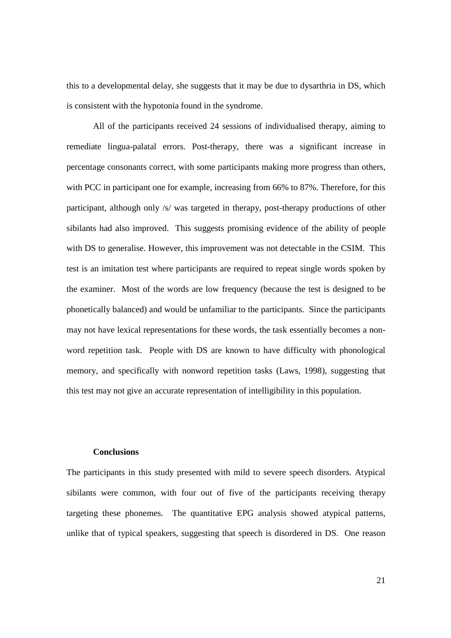this to a developmental delay, she suggests that it may be due to dysarthria in DS, which is consistent with the hypotonia found in the syndrome.

All of the participants received 24 sessions of individualised therapy, aiming to remediate lingua-palatal errors. Post-therapy, there was a significant increase in percentage consonants correct, with some participants making more progress than others, with PCC in participant one for example, increasing from 66% to 87%. Therefore, for this participant, although only /s/ was targeted in therapy, post-therapy productions of other sibilants had also improved. This suggests promising evidence of the ability of people with DS to generalise. However, this improvement was not detectable in the CSIM. This test is an imitation test where participants are required to repeat single words spoken by the examiner. Most of the words are low frequency (because the test is designed to be phonetically balanced) and would be unfamiliar to the participants. Since the participants may not have lexical representations for these words, the task essentially becomes a nonword repetition task. People with DS are known to have difficulty with phonological memory, and specifically with nonword repetition tasks (Laws, 1998), suggesting that this test may not give an accurate representation of intelligibility in this population.

### **Conclusions**

The participants in this study presented with mild to severe speech disorders. Atypical sibilants were common, with four out of five of the participants receiving therapy targeting these phonemes. The quantitative EPG analysis showed atypical patterns, unlike that of typical speakers, suggesting that speech is disordered in DS. One reason

21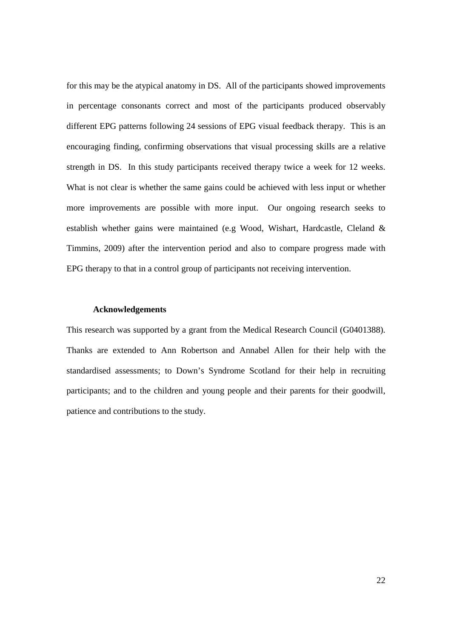for this may be the atypical anatomy in DS. All of the participants showed improvements in percentage consonants correct and most of the participants produced observably different EPG patterns following 24 sessions of EPG visual feedback therapy. This is an encouraging finding, confirming observations that visual processing skills are a relative strength in DS. In this study participants received therapy twice a week for 12 weeks. What is not clear is whether the same gains could be achieved with less input or whether more improvements are possible with more input. Our ongoing research seeks to establish whether gains were maintained (e.g Wood, Wishart, Hardcastle, Cleland & Timmins, 2009) after the intervention period and also to compare progress made with EPG therapy to that in a control group of participants not receiving intervention.

#### **Acknowledgements**

This research was supported by a grant from the Medical Research Council (G0401388). Thanks are extended to Ann Robertson and Annabel Allen for their help with the standardised assessments; to Down's Syndrome Scotland for their help in recruiting participants; and to the children and young people and their parents for their goodwill, patience and contributions to the study.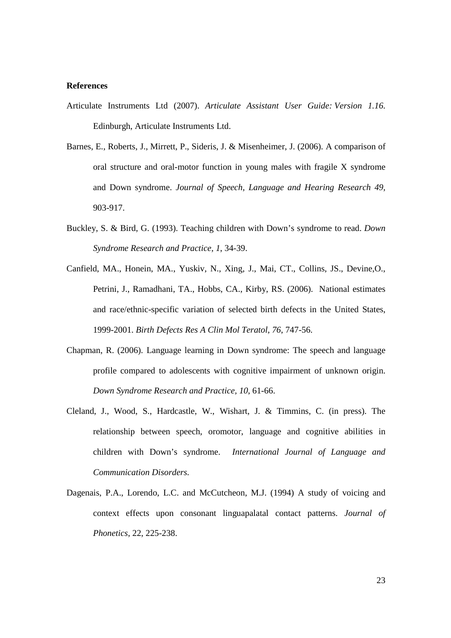### **References**

- Articulate Instruments Ltd (2007). *Articulate Assistant User Guide: Version 1.16*. Edinburgh, Articulate Instruments Ltd.
- Barnes, E., Roberts, J., Mirrett, P., Sideris, J. & Misenheimer, J. (2006). A comparison of oral structure and oral-motor function in young males with fragile X syndrome and Down syndrome. *Journal of Speech, Language and Hearing Research 49,*  903-917.
- Buckley, S. & Bird, G. (1993). Teaching children with Down's syndrome to read. *Down Syndrome Research and Practice, 1*, 34-39.
- Canfield, MA., Honein, MA., Yuskiv, N., Xing, J., Mai, CT., Collins, JS., Devine,O., Petrini, J., Ramadhani, TA., Hobbs, CA., Kirby, RS. (2006). National estimates and race/ethnic-specific variation of selected birth defects in the United States, 1999-2001. *Birth Defects Res A Clin Mol Teratol, 76*, 747-56.
- Chapman, R. (2006). Language learning in Down syndrome: The speech and language profile compared to adolescents with cognitive impairment of unknown origin. *Down Syndrome Research and Practice, 10*, 61-66.
- Cleland, J., Wood, S., Hardcastle, W., Wishart, J. & Timmins, C. (in press). The relationship between speech, oromotor, language and cognitive abilities in children with Down's syndrome. *International Journal of Language and Communication Disorders.*
- Dagenais, P.A., Lorendo, L.C. and McCutcheon, M.J. (1994) A study of voicing and context effects upon consonant linguapalatal contact patterns. *Journal of Phonetics*, 22, 225-238.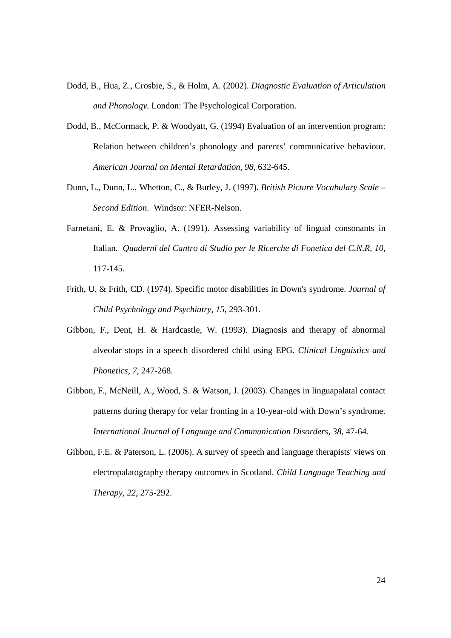- Dodd, B., Hua, Z., Crosbie, S., & Holm, A. (2002). *Diagnostic Evaluation of Articulation and Phonology.* London: The Psychological Corporation.
- Dodd, B., McCormack, P. & Woodyatt, G. (1994) Evaluation of an intervention program: Relation between children's phonology and parents' communicative behaviour. *American Journal on Mental Retardation, 98*, 632-645.
- Dunn, L., Dunn, L., Whetton, C., & Burley, J. (1997). *British Picture Vocabulary Scale Second Edition*. Windsor: NFER-Nelson.
- Farnetani, E. & Provaglio, A. (1991). Assessing variability of lingual consonants in Italian. *Quaderni del Cantro di Studio per le Ricerche di Fonetica del C.N.R, 10,*  117-145.
- Frith, U. & Frith, CD. (1974). Specific motor disabilities in Down's syndrome. *Journal of Child Psychology and Psychiatry, 15*, 293-301.
- Gibbon, F., Dent, H. & Hardcastle, W. (1993). Diagnosis and therapy of abnormal alveolar stops in a speech disordered child using EPG. *Clinical Linguistics and Phonetics*, *7*, 247-268.
- Gibbon, F., McNeill, A., Wood, S. & Watson, J. (2003). Changes in linguapalatal contact patterns during therapy for velar fronting in a 10-year-old with Down's syndrome. *International Journal of Language and Communication Disorders*, *38*, 47-64.
- Gibbon, F.E. & Paterson, L. (2006). A survey of speech and language therapists' views on electropalatography therapy outcomes in Scotland. *Child Language Teaching and Therapy*, *22*, 275-292.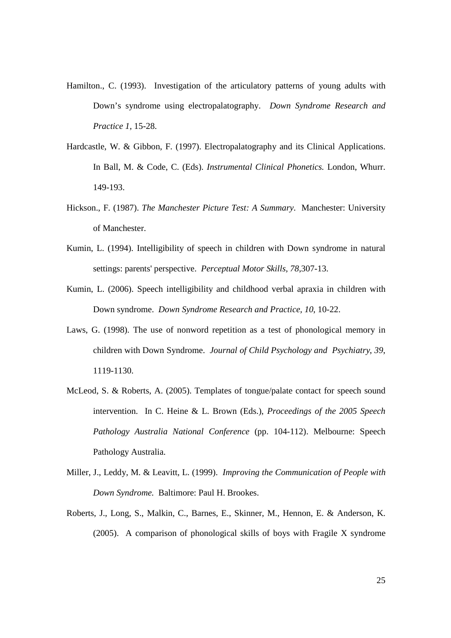- Hamilton., C. (1993). Investigation of the articulatory patterns of young adults with Down's syndrome using electropalatography. *Down Syndrome Research and Practice 1,* 15-28.
- Hardcastle, W. & Gibbon, F. (1997). Electropalatography and its Clinical Applications. In Ball, M. & Code, C. (Eds). *Instrumental Clinical Phonetics.* London, Whurr. 149-193.
- Hickson., F. (1987). *The Manchester Picture Test: A Summary*. Manchester: University of Manchester.
- Kumin, L. (1994). Intelligibility of speech in children with Down syndrome in natural settings: parents' perspective. *Perceptual Motor Skills, 78*,307-13.
- Kumin, L. (2006). Speech intelligibility and childhood verbal apraxia in children with Down syndrome. *Down Syndrome Research and Practice, 10*, 10-22.
- Laws, G. (1998). The use of nonword repetition as a test of phonological memory in children with Down Syndrome. *Journal of Child Psychology and Psychiatry*, *39*, 1119-1130.
- McLeod, S. & Roberts, A. (2005). Templates of tongue/palate contact for speech sound intervention. In C. Heine & L. Brown (Eds.), *Proceedings of the 2005 Speech Pathology Australia National Conference* (pp. 104-112). Melbourne: Speech Pathology Australia.
- Miller, J., Leddy, M. & Leavitt, L. (1999). *Improving the Communication of People with Down Syndrome.* Baltimore: Paul H. Brookes.
- Roberts, J., Long, S., Malkin, C., Barnes, E., Skinner, M., Hennon, E. & Anderson, K. (2005). A comparison of phonological skills of boys with Fragile X syndrome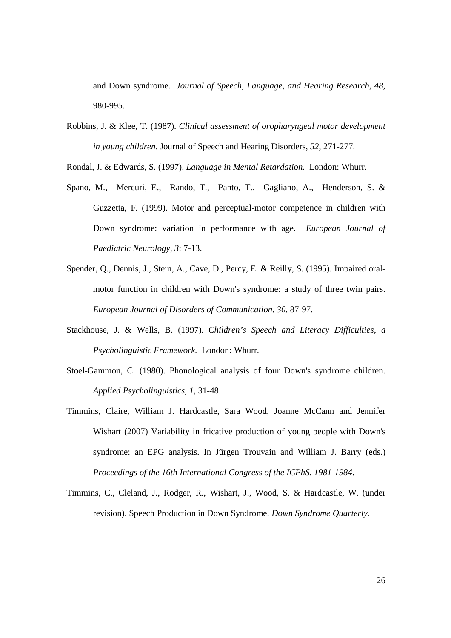and Down syndrome. *Journal of Speech, Language, and Hearing Research, 48*, 980-995.

Robbins, J. & Klee, T. (1987). *Clinical assessment of oropharyngeal motor development in young children*. Journal of Speech and Hearing Disorders, *52*, 271-277.

Rondal, J. & Edwards, S. (1997). *Language in Mental Retardation.* London: Whurr.

- Spano, M., Mercuri, E., Rando, T., Panto, T., Gagliano, A., Henderson, S. & Guzzetta, F. (1999). Motor and perceptual-motor competence in children with Down syndrome: variation in performance with age. *European Journal of Paediatric Neurology*, *3*: 7-13.
- Spender, Q., Dennis, J., Stein, A., Cave, D., Percy, E. & Reilly, S. (1995). Impaired oralmotor function in children with Down's syndrome: a study of three twin pairs. *European Journal of Disorders of Communication, 30*, 87-97.
- Stackhouse, J. & Wells, B. (1997). *Children's Speech and Literacy Difficulties, a Psycholinguistic Framework.* London: Whurr.
- Stoel-Gammon, C. (1980). Phonological analysis of four Down's syndrome children. *Applied Psycholinguistics, 1*, 31-48.
- Timmins, Claire, William J. Hardcastle, Sara Wood, Joanne McCann and Jennifer Wishart (2007) Variability in fricative production of young people with Down's syndrome: an EPG analysis. In Jürgen Trouvain and William J. Barry (eds.) *Proceedings of the 16th International Congress of the ICPhS, 1981-1984*.
- Timmins, C., Cleland, J., Rodger, R., Wishart, J., Wood, S. & Hardcastle, W. (under revision). Speech Production in Down Syndrome. *Down Syndrome Quarterly.*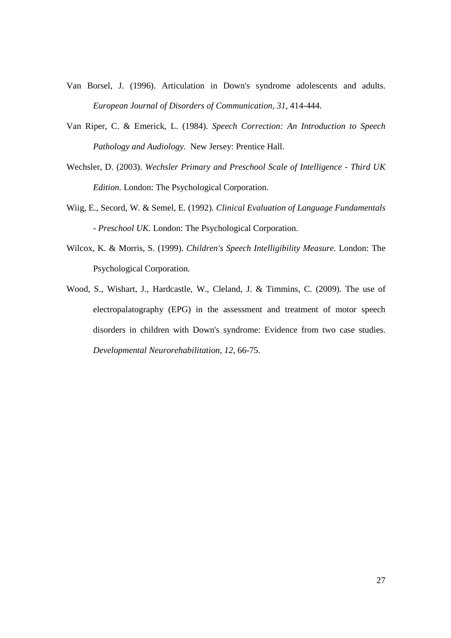- Van Borsel, J. (1996). Articulation in Down's syndrome adolescents and adults. *European Journal of Disorders of Communication, 31*, 414-444.
- Van Riper, C. & Emerick, L. (1984). *Speech Correction: An Introduction to Speech Pathology and Audiology.* New Jersey: Prentice Hall.
- Wechsler, D. (2003). *Wechsler Primary and Preschool Scale of Intelligence Third UK Edition.* London: The Psychological Corporation.
- Wiig, E., Secord, W. & Semel, E. (1992). *Clinical Evaluation of Language Fundamentals - Preschool UK.* London: The Psychological Corporation.
- Wilcox, K. & Morris, S. (1999). *Children's Speech Intelligibility Measure.* London: The Psychological Corporation.
- Wood, S., Wishart, J., Hardcastle, W., Cleland, J. & Timmins, C. (2009). The use of electropalatography (EPG) in the assessment and treatment of motor speech disorders in children with Down's syndrome: Evidence from two case studies. *Developmental Neurorehabilitation*, *12*, 66-75.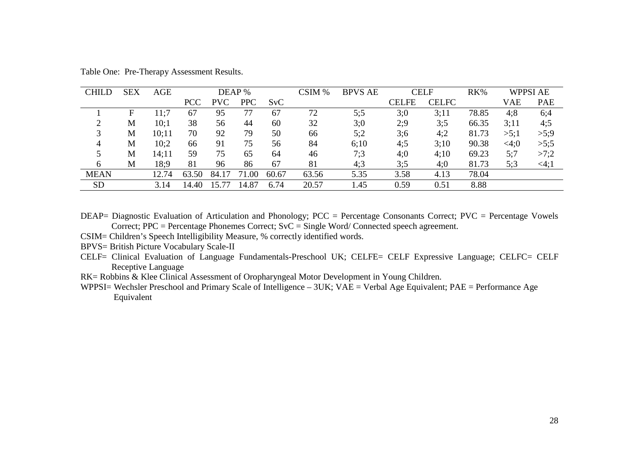| <b>CHILD</b> | <b>SEX</b> | <b>AGE</b> | DEAP %     |            | CSIM %     | <b>BPVS AE</b> | <b>CELF</b> |      | RK%          | WPPSI AE     |       |      |            |
|--------------|------------|------------|------------|------------|------------|----------------|-------------|------|--------------|--------------|-------|------|------------|
|              |            |            | <b>PCC</b> | <b>PVC</b> | <b>PPC</b> | SVC            |             |      | <b>CELFE</b> | <b>CELFC</b> |       | VAE  | <b>PAE</b> |
|              | F          | 11:7       | 67         | 95         |            | 67             | 72          | 5:5  | 3:0          | 3:11         | 78.85 | 4:8  | 6;4        |
|              | M          | 10:1       | 38         | 56         | 44         | 60             | 32          | 3:0  | 2;9          | 3:5          | 66.35 | 3:11 | 4:5        |
| 3            | M          | 10;11      | 70         | 92         | 79         | 50             | 66          | 5:2  | 3:6          | 4;2          | 81.73 | >5:1 | >5;9       |
| 4            | M          | 10;2       | 66         | 91         | 75         | 56             | 84          | 6:10 | 4:5          | 3:10         | 90.38 | <4:0 | >5:5       |
|              | M          | 14;11      | 59         | 75         | 65         | 64             | 46          | 7:3  | 4;0          | 4:10         | 69.23 | 5:7  | >7;2       |
| <sub>6</sub> | M          | 18;9       | 81         | 96         | 86         | 67             | 81          | 4:3  | 3:5          | 4:0          | 81.73 | 5:3  | <4;1       |
| <b>MEAN</b>  |            | 12.74      | 63.50      | 84.17      | 71.00      | 60.67          | 63.56       | 5.35 | 3.58         | 4.13         | 78.04 |      |            |
| <b>SD</b>    |            | 3.14       | 14.40      |            | 14.87      | 6.74           | 20.57       | l.45 | 0.59         | 0.51         | 8.88  |      |            |

Table One: Pre-Therapy Assessment Results.

DEAP= Diagnostic Evaluation of Articulation and Phonology; PCC = Percentage Consonants Correct; PVC = Percentage Vowels Correct; PPC = Percentage Phonemes Correct; SvC = Single Word/ Connected speech agreement.

CSIM= Children's Speech Intelligibility Measure, % correctly identified words.

BPVS= British Picture Vocabulary Scale-II

CELF= Clinical Evaluation of Language Fundamentals-Preschool UK; CELFE= CELF Expressive Language; CELFC= CELF Receptive Language

RK= Robbins & Klee Clinical Assessment of Oropharyngeal Motor Development in Young Children.

WPPSI= Wechsler Preschool and Primary Scale of Intelligence – 3UK; VAE = Verbal Age Equivalent; PAE = Performance Age Equivalent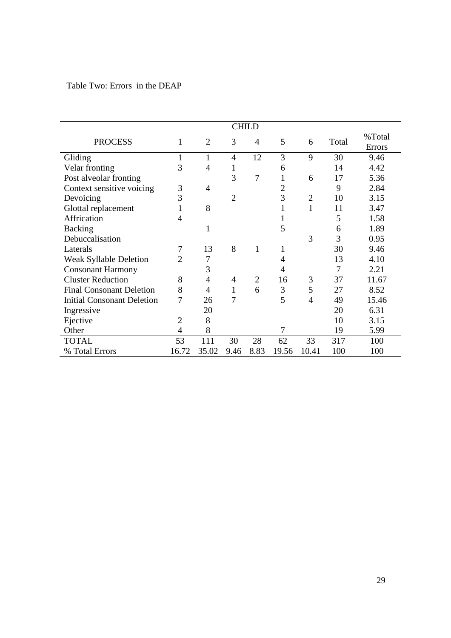# Table Two: Errors in the DEAP

|                                   |                |                | <b>CHILD</b>   |                |                |                |       |                         |
|-----------------------------------|----------------|----------------|----------------|----------------|----------------|----------------|-------|-------------------------|
| <b>PROCESS</b>                    | 1              | $\overline{2}$ | 3              | $\overline{4}$ | 5              | 6              | Total | %Total<br><b>Errors</b> |
| Gliding                           | $\mathbf{1}$   | 1              | 4              | 12             | 3              | 9              | 30    | 9.46                    |
| Velar fronting                    | 3              | 4              | 1              |                | 6              |                | 14    | 4.42                    |
| Post alveolar fronting            |                |                | 3              | $\overline{7}$ | 1              | 6              | 17    | 5.36                    |
| Context sensitive voicing         | 3              | 4              |                |                | $\overline{c}$ |                | 9     | 2.84                    |
| Devoicing                         | 3              |                | $\overline{2}$ |                | 3              | $\overline{2}$ | 10    | 3.15                    |
| Glottal replacement               | 1              | 8              |                |                |                | 1              | 11    | 3.47                    |
| Affrication                       | 4              |                |                |                | $\mathbf{1}$   |                | 5     | 1.58                    |
| <b>Backing</b>                    |                | 1              |                |                | 5              |                | 6     | 1.89                    |
| Debuccalisation                   |                |                |                |                |                | 3              | 3     | 0.95                    |
| Laterals                          | 7              | 13             | 8              | 1              | 1              |                | 30    | 9.46                    |
| <b>Weak Syllable Deletion</b>     | $\overline{2}$ | 7              |                |                | 4              |                | 13    | 4.10                    |
| <b>Consonant Harmony</b>          |                | 3              |                |                | 4              |                | 7     | 2.21                    |
| <b>Cluster Reduction</b>          | 8              | 4              | 4              | $\overline{2}$ | 16             | 3              | 37    | 11.67                   |
| <b>Final Consonant Deletion</b>   | 8              | $\overline{4}$ | $\mathbf{1}$   | 6              | 3              | 5              | 27    | 8.52                    |
| <b>Initial Consonant Deletion</b> | 7              | 26             | 7              |                | 5              | $\overline{4}$ | 49    | 15.46                   |
| Ingressive                        |                | 20             |                |                |                |                | 20    | 6.31                    |
| Ejective                          | $\overline{2}$ | 8              |                |                |                |                | 10    | 3.15                    |
| Other                             | $\overline{4}$ | 8              |                |                | 7              |                | 19    | 5.99                    |
| <b>TOTAL</b>                      | 53             | 111            | 30             | 28             | 62             | 33             | 317   | 100                     |
| % Total Errors                    | 16.72          | 35.02          | 9.46           | 8.83           | 19.56          | 10.41          | 100   | 100                     |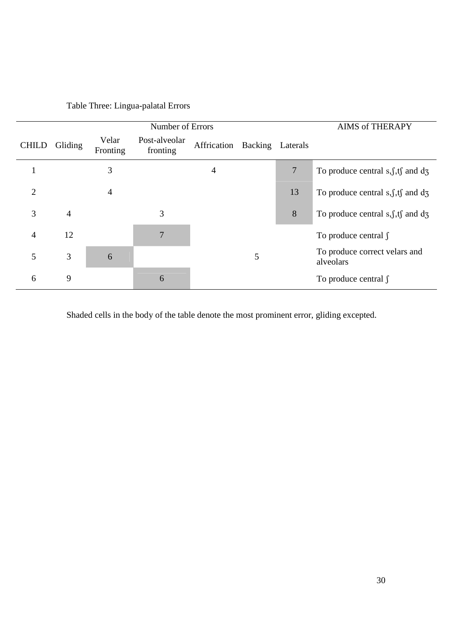|                |                |                   | Number of Errors          |                              |   |                | <b>AIMS of THERAPY</b>                              |
|----------------|----------------|-------------------|---------------------------|------------------------------|---|----------------|-----------------------------------------------------|
| <b>CHILD</b>   | Gliding        | Velar<br>Fronting | Post-alveolar<br>fronting | Affrication Backing Laterals |   |                |                                                     |
|                |                | 3                 |                           | $\overline{4}$               |   | $\overline{7}$ | To produce central $s, \int, tf$ and d <sub>3</sub> |
| $\overline{2}$ |                | 4                 |                           |                              |   | 13             | To produce central $s, \int, tf$ and d <sub>3</sub> |
| 3              | $\overline{4}$ |                   | 3                         |                              |   | 8              | To produce central $s, \int f \$ and $d\tau$        |
| $\overline{4}$ | 12             |                   | $\overline{7}$            |                              |   |                | To produce central $\int$                           |
| 5              | 3              | 6                 |                           |                              | 5 |                | To produce correct velars and<br>alveolars          |
| 6              | 9              |                   | 6                         |                              |   |                | To produce central $\int$                           |

Table Three: Lingua-palatal Errors

Shaded cells in the body of the table denote the most prominent error, gliding excepted.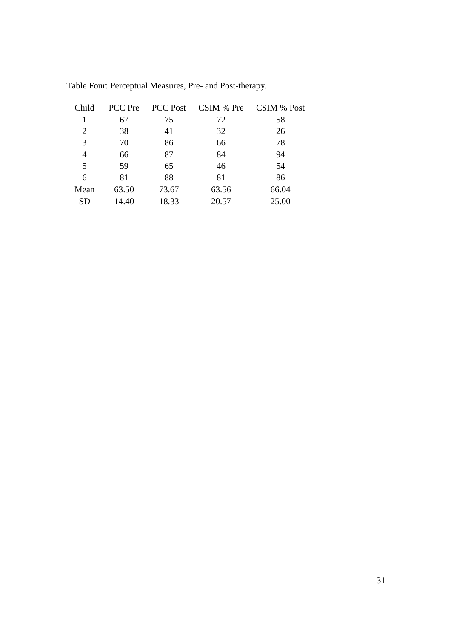| Child     | <b>PCC</b> Pre | <b>PCC Post</b> | CSIM % Pre | CSIM % Post |
|-----------|----------------|-----------------|------------|-------------|
|           | 67             | 75              | 72         | 58          |
| 2         | 38             | 41              | 32         | 26          |
| 3         | 70             | 86              | 66         | 78          |
| 4         | 66             | 87              | 84         | 94          |
| 5         | 59             | 65              | 46         | 54          |
| 6         | 81             | 88              | 81         | 86          |
| Mean      | 63.50          | 73.67           | 63.56      | 66.04       |
| <b>SD</b> | 14.40          | 18.33           | 20.57      | 25.00       |

Table Four: Perceptual Measures, Pre- and Post-therapy.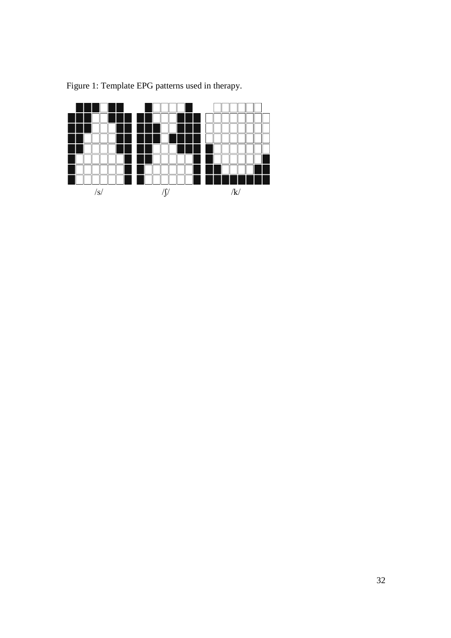

Figure 1: Template EPG patterns used in therapy.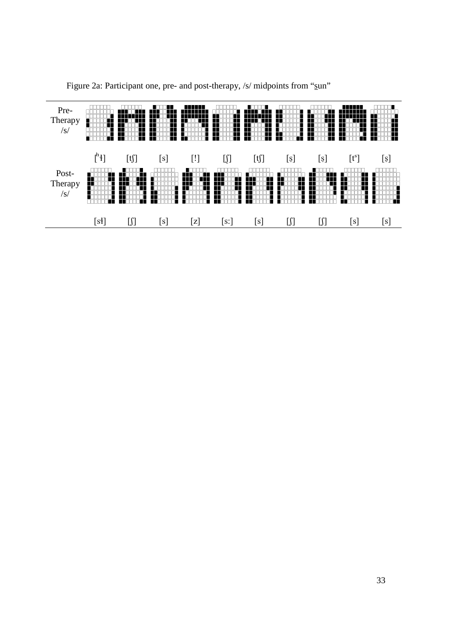

Figure 2a: Participant one, pre- and post-therapy, /s/ midpoints from "sun"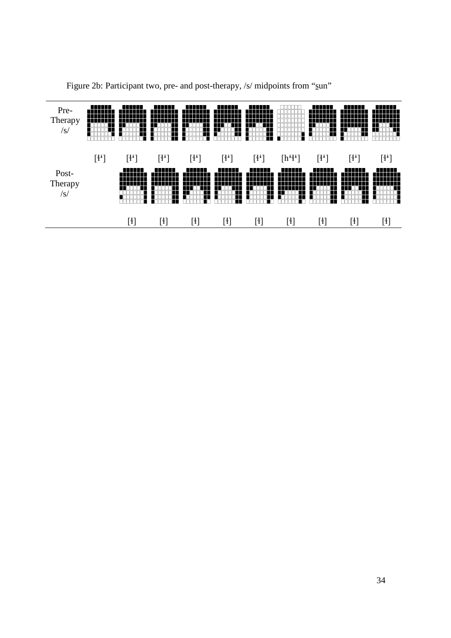

Figure 2b: Participant two, pre- and post-therapy, /s/ midpoints from "sun"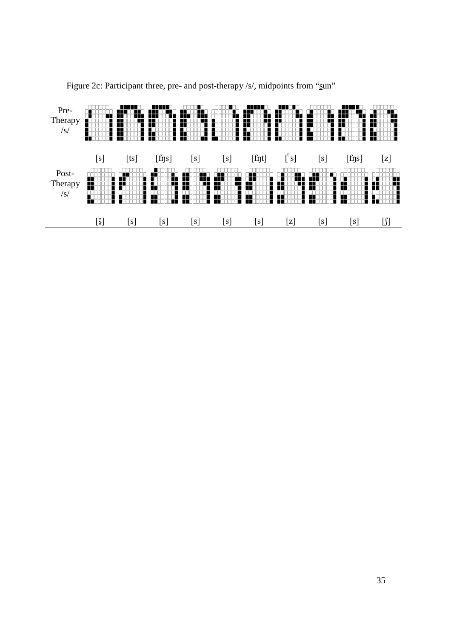

Figure 2c: Participant three, pre- and post-therapy /s/, midpoints from "sun"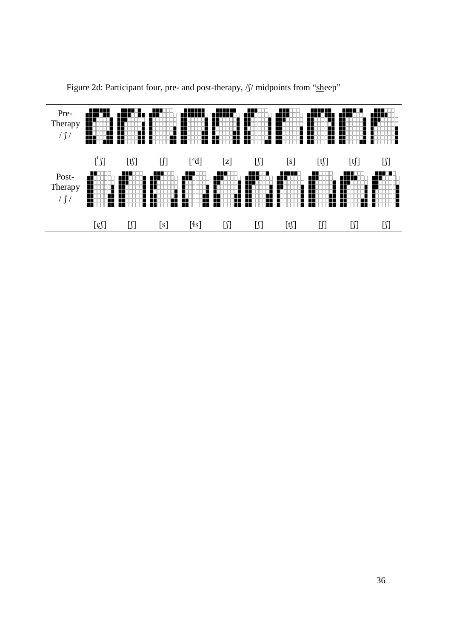

Figure 2d: Participant four, pre- and post-therapy,  $\int \int$  midpoints from "sheep"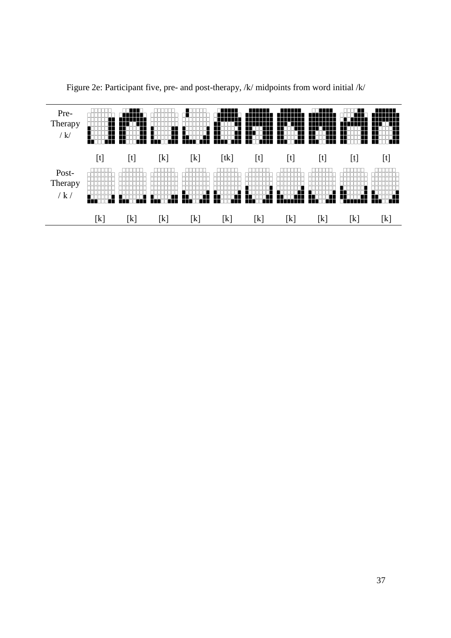

Figure 2e: Participant five, pre- and post-therapy, /k/ midpoints from word initial /k/